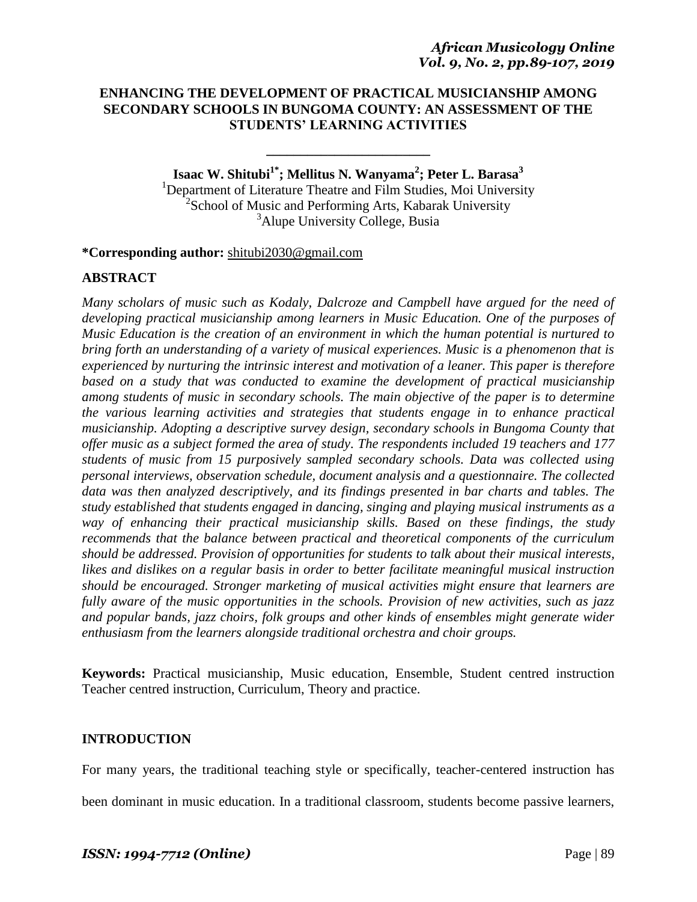# **ENHANCING THE DEVELOPMENT OF PRACTICAL MUSICIANSHIP AMONG SECONDARY SCHOOLS IN BUNGOMA COUNTY: AN ASSESSMENT OF THE STUDENTS' LEARNING ACTIVITIES**

**\_\_\_\_\_\_\_\_\_\_\_\_\_\_\_\_\_\_\_\_\_\_\_\_**

**Isaac W. Shitubi1\*; Mellitus N. Wanyama<sup>2</sup> ; Peter L. Barasa<sup>3</sup>** <sup>1</sup>Department of Literature Theatre and Film Studies, Moi University <sup>2</sup>School of Music and Performing Arts, Kabarak University <sup>3</sup>Alupe University College, Busia

**\*Corresponding author:** [shitubi2030@gmail.com](mailto:shitubi2030@gmail.com)

### **ABSTRACT**

*Many scholars of music such as Kodaly, Dalcroze and Campbell have argued for the need of developing practical musicianship among learners in Music Education. One of the purposes of Music Education is the creation of an environment in which the human potential is nurtured to bring forth an understanding of a variety of musical experiences. Music is a phenomenon that is experienced by nurturing the intrinsic interest and motivation of a leaner. This paper is therefore based on a study that was conducted to examine the development of practical musicianship among students of music in secondary schools. The main objective of the paper is to determine the various learning activities and strategies that students engage in to enhance practical musicianship. Adopting a descriptive survey design, secondary schools in Bungoma County that offer music as a subject formed the area of study. The respondents included 19 teachers and 177 students of music from 15 purposively sampled secondary schools. Data was collected using personal interviews, observation schedule, document analysis and a questionnaire. The collected data was then analyzed descriptively, and its findings presented in bar charts and tables. The study established that students engaged in dancing, singing and playing musical instruments as a way of enhancing their practical musicianship skills. Based on these findings, the study recommends that the balance between practical and theoretical components of the curriculum should be addressed. Provision of opportunities for students to talk about their musical interests, likes and dislikes on a regular basis in order to better facilitate meaningful musical instruction should be encouraged. Stronger marketing of musical activities might ensure that learners are fully aware of the music opportunities in the schools. Provision of new activities, such as jazz and popular bands, jazz choirs, folk groups and other kinds of ensembles might generate wider enthusiasm from the learners alongside traditional orchestra and choir groups.*

**Keywords:** Practical musicianship, Music education, Ensemble, Student centred instruction Teacher centred instruction, Curriculum, Theory and practice.

### **INTRODUCTION**

For many years, the traditional teaching style or specifically, teacher-centered instruction has

been dominant in music education. In a traditional classroom, students become passive learners,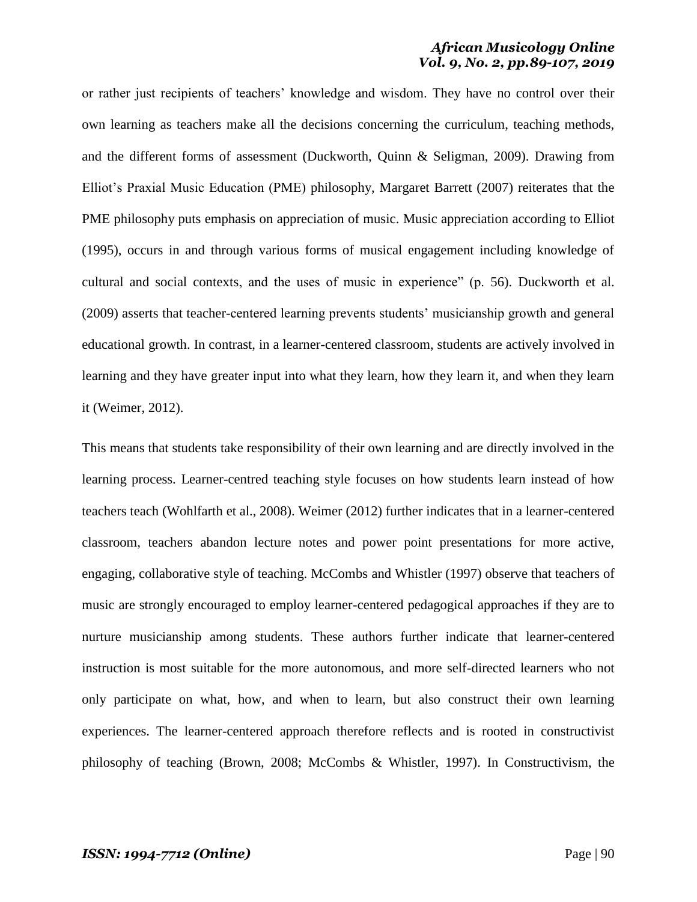or rather just recipients of teachers" knowledge and wisdom. They have no control over their own learning as teachers make all the decisions concerning the curriculum, teaching methods, and the different forms of assessment (Duckworth, Quinn & Seligman, 2009). Drawing from Elliot"s Praxial Music Education (PME) philosophy, Margaret Barrett (2007) reiterates that the PME philosophy puts emphasis on appreciation of music. Music appreciation according to Elliot (1995), occurs in and through various forms of musical engagement including knowledge of cultural and social contexts, and the uses of music in experience" (p. 56). Duckworth et al. (2009) asserts that teacher-centered learning prevents students" musicianship growth and general educational growth. In contrast, in a learner-centered classroom, students are actively involved in learning and they have greater input into what they learn, how they learn it, and when they learn it (Weimer, 2012).

This means that students take responsibility of their own learning and are directly involved in the learning process. Learner-centred teaching style focuses on how students learn instead of how teachers teach (Wohlfarth et al., 2008). Weimer (2012) further indicates that in a learner-centered classroom, teachers abandon lecture notes and power point presentations for more active, engaging, collaborative style of teaching. McCombs and Whistler (1997) observe that teachers of music are strongly encouraged to employ learner-centered pedagogical approaches if they are to nurture musicianship among students. These authors further indicate that learner-centered instruction is most suitable for the more autonomous, and more self-directed learners who not only participate on what, how, and when to learn, but also construct their own learning experiences. The learner-centered approach therefore reflects and is rooted in constructivist philosophy of teaching (Brown, 2008; McCombs & Whistler, 1997). In Constructivism, the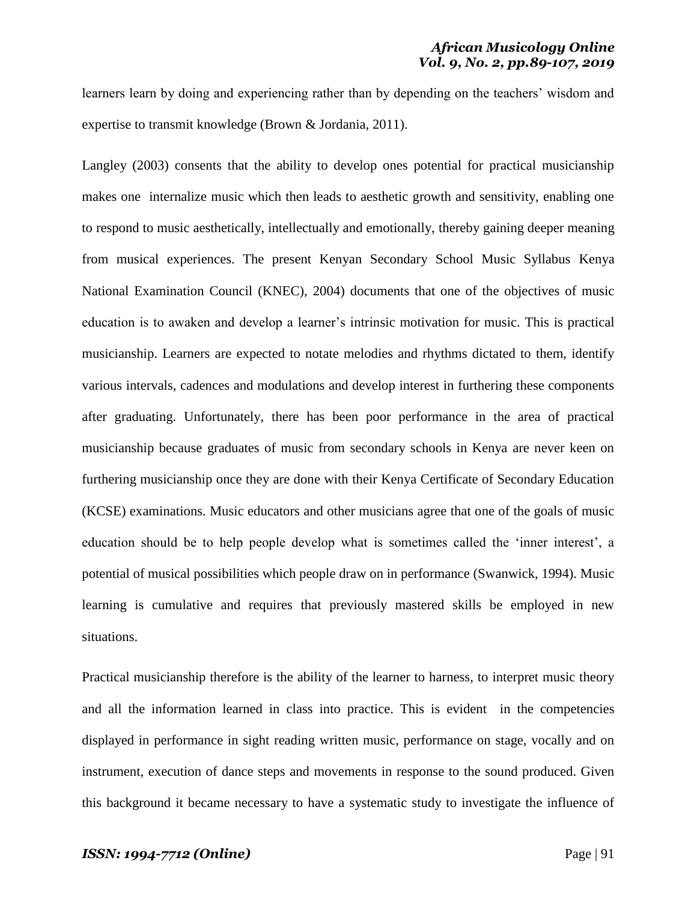learners learn by doing and experiencing rather than by depending on the teachers' wisdom and expertise to transmit knowledge (Brown & Jordania, 2011).

Langley (2003) consents that the ability to develop ones potential for practical musicianship makes one internalize music which then leads to aesthetic growth and sensitivity, enabling one to respond to music aesthetically, intellectually and emotionally, thereby gaining deeper meaning from musical experiences. The present Kenyan Secondary School Music Syllabus Kenya National Examination Council (KNEC), 2004) documents that one of the objectives of music education is to awaken and develop a learner"s intrinsic motivation for music. This is practical musicianship. Learners are expected to notate melodies and rhythms dictated to them, identify various intervals, cadences and modulations and develop interest in furthering these components after graduating. Unfortunately, there has been poor performance in the area of practical musicianship because graduates of music from secondary schools in Kenya are never keen on furthering musicianship once they are done with their Kenya Certificate of Secondary Education (KCSE) examinations. Music educators and other musicians agree that one of the goals of music education should be to help people develop what is sometimes called the "inner interest", a potential of musical possibilities which people draw on in performance (Swanwick, 1994). Music learning is cumulative and requires that previously mastered skills be employed in new situations.

Practical musicianship therefore is the ability of the learner to harness, to interpret music theory and all the information learned in class into practice. This is evident in the competencies displayed in performance in sight reading written music, performance on stage, vocally and on instrument, execution of dance steps and movements in response to the sound produced. Given this background it became necessary to have a systematic study to investigate the influence of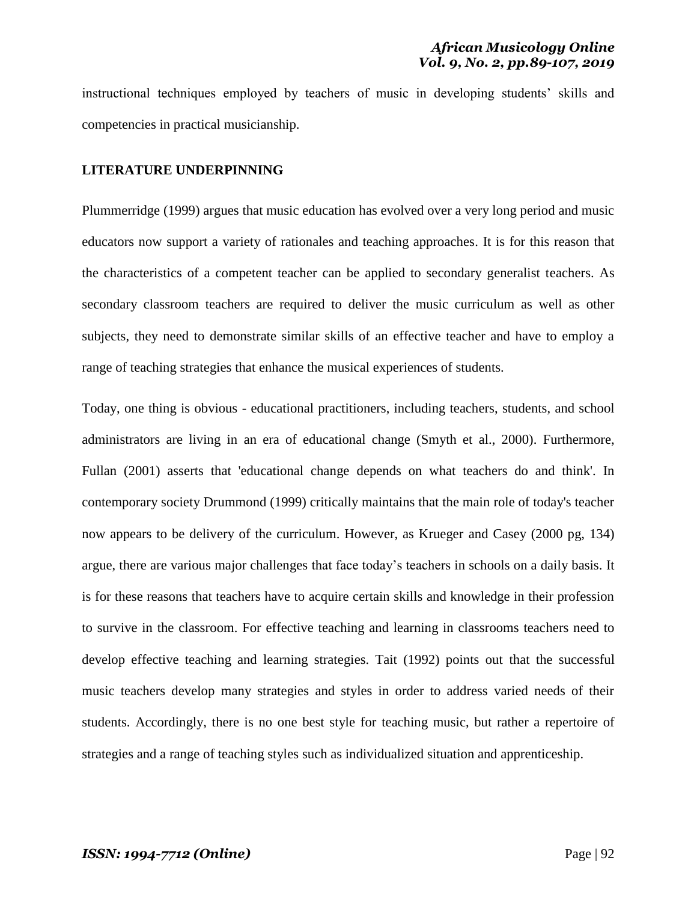instructional techniques employed by teachers of music in developing students' skills and competencies in practical musicianship.

#### **LITERATURE UNDERPINNING**

Plummerridge (1999) argues that music education has evolved over a very long period and music educators now support a variety of rationales and teaching approaches. It is for this reason that the characteristics of a competent teacher can be applied to secondary generalist teachers. As secondary classroom teachers are required to deliver the music curriculum as well as other subjects, they need to demonstrate similar skills of an effective teacher and have to employ a range of teaching strategies that enhance the musical experiences of students.

Today, one thing is obvious - educational practitioners, including teachers, students, and school administrators are living in an era of educational change (Smyth et al., 2000). Furthermore, Fullan (2001) asserts that 'educational change depends on what teachers do and think'. In contemporary society Drummond (1999) critically maintains that the main role of today's teacher now appears to be delivery of the curriculum. However, as Krueger and Casey (2000 pg, 134) argue, there are various major challenges that face today"s teachers in schools on a daily basis. It is for these reasons that teachers have to acquire certain skills and knowledge in their profession to survive in the classroom. For effective teaching and learning in classrooms teachers need to develop effective teaching and learning strategies. Tait (1992) points out that the successful music teachers develop many strategies and styles in order to address varied needs of their students. Accordingly, there is no one best style for teaching music, but rather a repertoire of strategies and a range of teaching styles such as individualized situation and apprenticeship.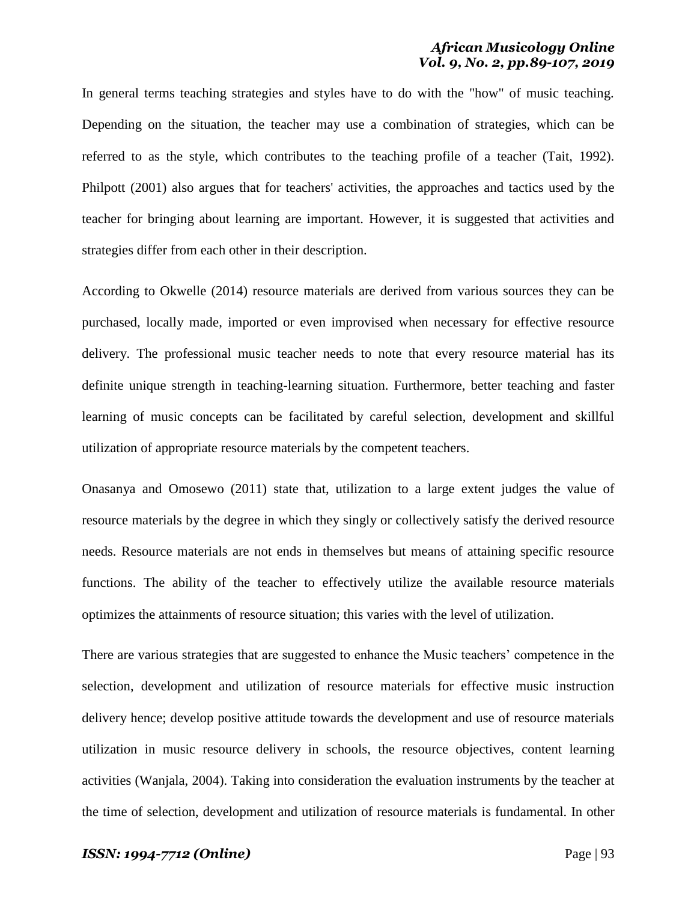In general terms teaching strategies and styles have to do with the "how" of music teaching. Depending on the situation, the teacher may use a combination of strategies, which can be referred to as the style, which contributes to the teaching profile of a teacher (Tait, 1992). Philpott (2001) also argues that for teachers' activities, the approaches and tactics used by the teacher for bringing about learning are important. However, it is suggested that activities and strategies differ from each other in their description.

According to Okwelle (2014) resource materials are derived from various sources they can be purchased, locally made, imported or even improvised when necessary for effective resource delivery. The professional music teacher needs to note that every resource material has its definite unique strength in teaching-learning situation. Furthermore, better teaching and faster learning of music concepts can be facilitated by careful selection, development and skillful utilization of appropriate resource materials by the competent teachers.

Onasanya and Omosewo (2011) state that, utilization to a large extent judges the value of resource materials by the degree in which they singly or collectively satisfy the derived resource needs. Resource materials are not ends in themselves but means of attaining specific resource functions. The ability of the teacher to effectively utilize the available resource materials optimizes the attainments of resource situation; this varies with the level of utilization.

There are various strategies that are suggested to enhance the Music teachers" competence in the selection, development and utilization of resource materials for effective music instruction delivery hence; develop positive attitude towards the development and use of resource materials utilization in music resource delivery in schools, the resource objectives, content learning activities (Wanjala, 2004). Taking into consideration the evaluation instruments by the teacher at the time of selection, development and utilization of resource materials is fundamental. In other

#### *ISSN: 1994-7712 (Online)* Page | 93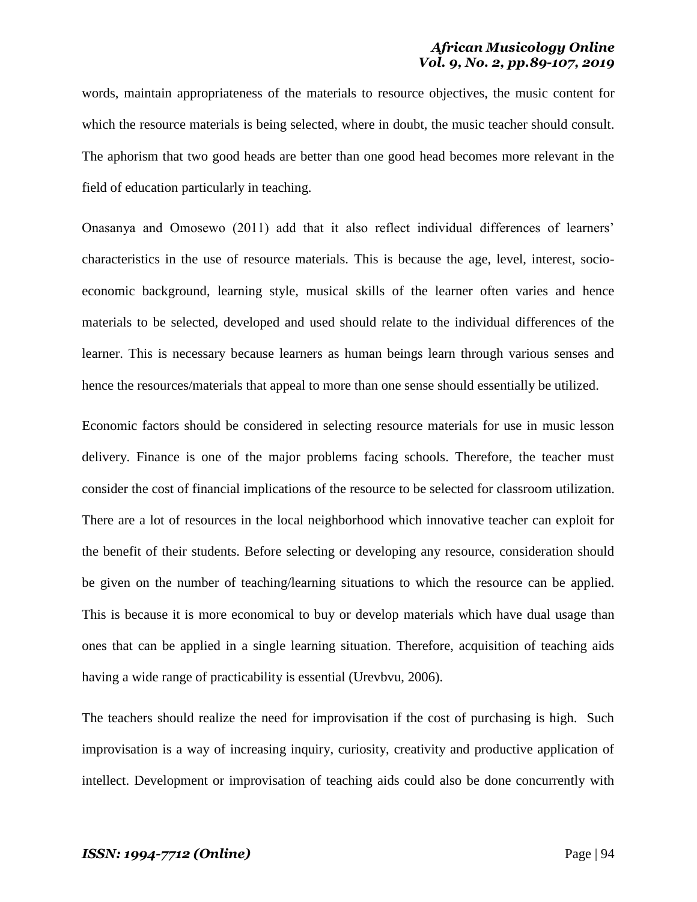words, maintain appropriateness of the materials to resource objectives, the music content for which the resource materials is being selected, where in doubt, the music teacher should consult. The aphorism that two good heads are better than one good head becomes more relevant in the field of education particularly in teaching.

Onasanya and Omosewo (2011) add that it also reflect individual differences of learners" characteristics in the use of resource materials. This is because the age, level, interest, socioeconomic background, learning style, musical skills of the learner often varies and hence materials to be selected, developed and used should relate to the individual differences of the learner. This is necessary because learners as human beings learn through various senses and hence the resources/materials that appeal to more than one sense should essentially be utilized.

Economic factors should be considered in selecting resource materials for use in music lesson delivery. Finance is one of the major problems facing schools. Therefore, the teacher must consider the cost of financial implications of the resource to be selected for classroom utilization. There are a lot of resources in the local neighborhood which innovative teacher can exploit for the benefit of their students. Before selecting or developing any resource, consideration should be given on the number of teaching/learning situations to which the resource can be applied. This is because it is more economical to buy or develop materials which have dual usage than ones that can be applied in a single learning situation. Therefore, acquisition of teaching aids having a wide range of practicability is essential (Urevbvu, 2006).

The teachers should realize the need for improvisation if the cost of purchasing is high. Such improvisation is a way of increasing inquiry, curiosity, creativity and productive application of intellect. Development or improvisation of teaching aids could also be done concurrently with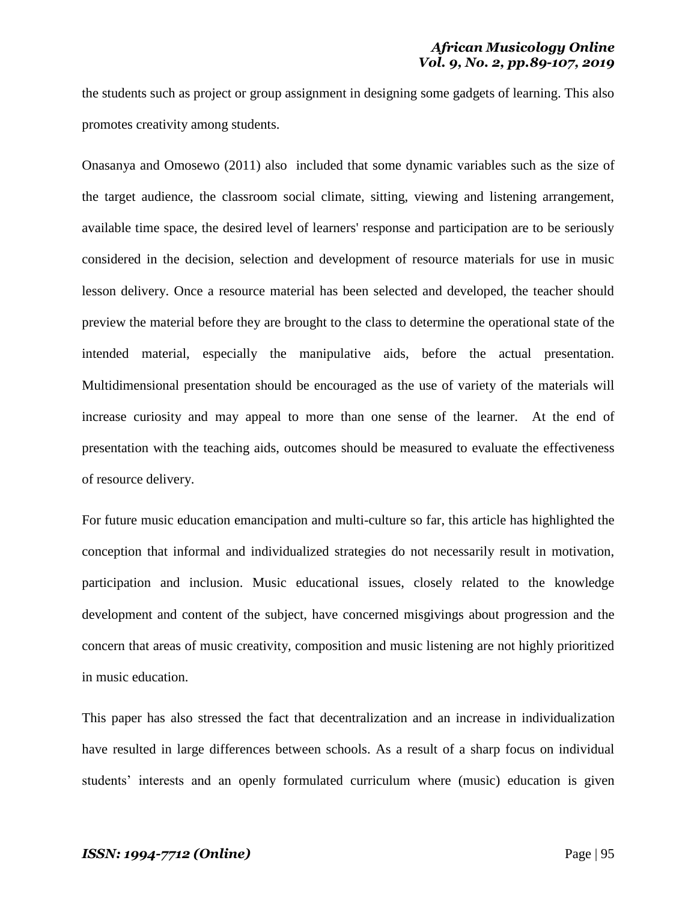the students such as project or group assignment in designing some gadgets of learning. This also promotes creativity among students.

Onasanya and Omosewo (2011) also included that some dynamic variables such as the size of the target audience, the classroom social climate, sitting, viewing and listening arrangement, available time space, the desired level of learners' response and participation are to be seriously considered in the decision, selection and development of resource materials for use in music lesson delivery. Once a resource material has been selected and developed, the teacher should preview the material before they are brought to the class to determine the operational state of the intended material, especially the manipulative aids, before the actual presentation. Multidimensional presentation should be encouraged as the use of variety of the materials will increase curiosity and may appeal to more than one sense of the learner. At the end of presentation with the teaching aids, outcomes should be measured to evaluate the effectiveness of resource delivery.

For future music education emancipation and multi-culture so far, this article has highlighted the conception that informal and individualized strategies do not necessarily result in motivation, participation and inclusion. Music educational issues, closely related to the knowledge development and content of the subject, have concerned misgivings about progression and the concern that areas of music creativity, composition and music listening are not highly prioritized in music education.

This paper has also stressed the fact that decentralization and an increase in individualization have resulted in large differences between schools. As a result of a sharp focus on individual students' interests and an openly formulated curriculum where (music) education is given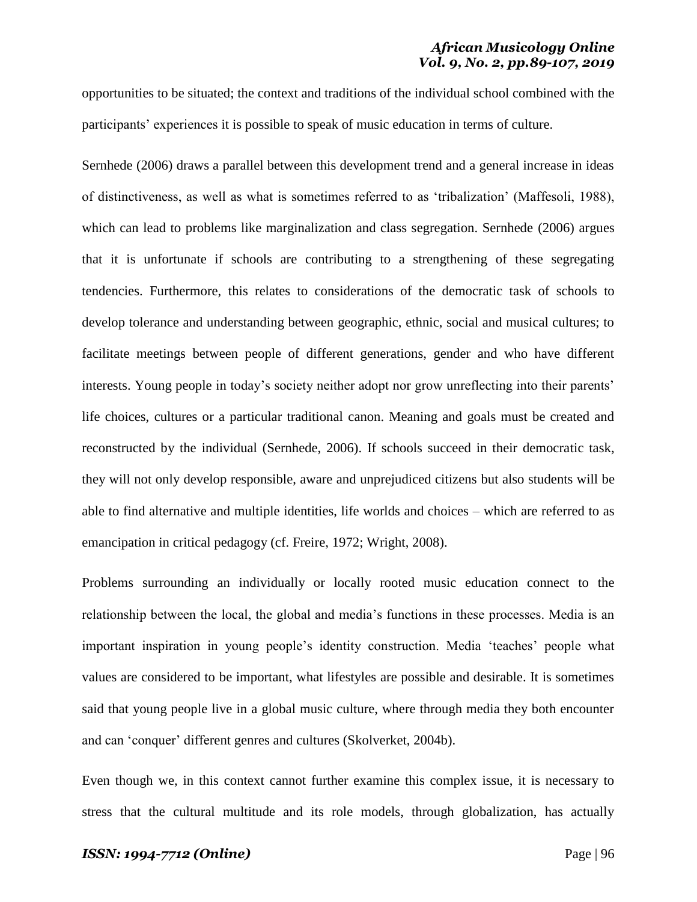opportunities to be situated; the context and traditions of the individual school combined with the participants' experiences it is possible to speak of music education in terms of culture.

Sernhede (2006) draws a parallel between this development trend and a general increase in ideas of distinctiveness, as well as what is sometimes referred to as "tribalization" (Maffesoli, 1988), which can lead to problems like marginalization and class segregation. Sernhede (2006) argues that it is unfortunate if schools are contributing to a strengthening of these segregating tendencies. Furthermore, this relates to considerations of the democratic task of schools to develop tolerance and understanding between geographic, ethnic, social and musical cultures; to facilitate meetings between people of different generations, gender and who have different interests. Young people in today's society neither adopt nor grow unreflecting into their parents' life choices, cultures or a particular traditional canon. Meaning and goals must be created and reconstructed by the individual (Sernhede, 2006). If schools succeed in their democratic task, they will not only develop responsible, aware and unprejudiced citizens but also students will be able to find alternative and multiple identities, life worlds and choices – which are referred to as emancipation in critical pedagogy (cf. Freire, 1972; Wright, 2008).

Problems surrounding an individually or locally rooted music education connect to the relationship between the local, the global and media"s functions in these processes. Media is an important inspiration in young people"s identity construction. Media "teaches" people what values are considered to be important, what lifestyles are possible and desirable. It is sometimes said that young people live in a global music culture, where through media they both encounter and can 'conquer' different genres and cultures (Skolverket, 2004b).

Even though we, in this context cannot further examine this complex issue, it is necessary to stress that the cultural multitude and its role models, through globalization, has actually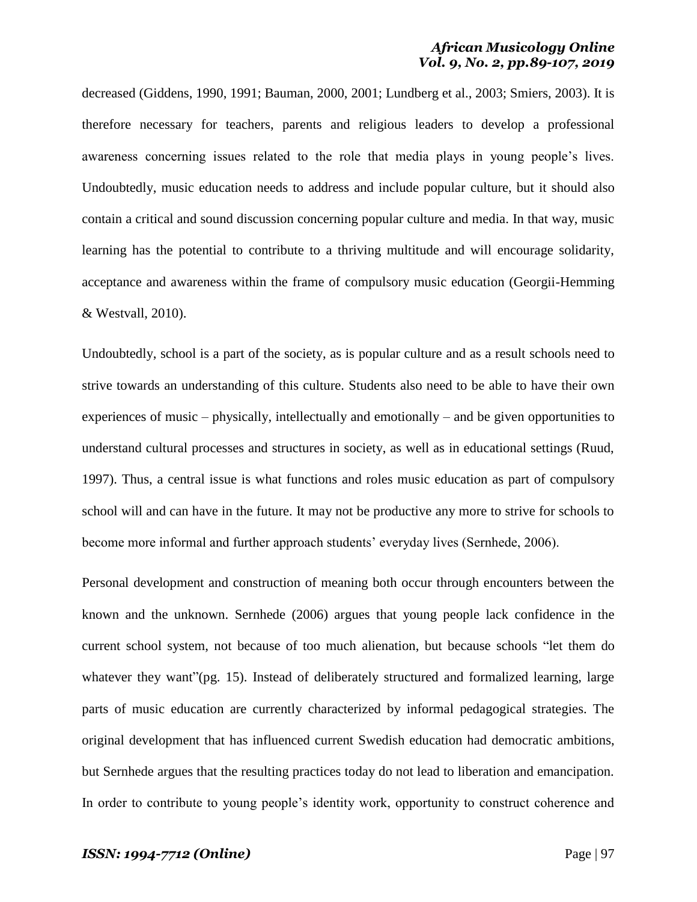decreased (Giddens, 1990, 1991; Bauman, 2000, 2001; Lundberg et al., 2003; Smiers, 2003). It is therefore necessary for teachers, parents and religious leaders to develop a professional awareness concerning issues related to the role that media plays in young people"s lives. Undoubtedly, music education needs to address and include popular culture, but it should also contain a critical and sound discussion concerning popular culture and media. In that way, music learning has the potential to contribute to a thriving multitude and will encourage solidarity, acceptance and awareness within the frame of compulsory music education (Georgii-Hemming & Westvall, 2010).

Undoubtedly, school is a part of the society, as is popular culture and as a result schools need to strive towards an understanding of this culture. Students also need to be able to have their own experiences of music – physically, intellectually and emotionally – and be given opportunities to understand cultural processes and structures in society, as well as in educational settings (Ruud, 1997). Thus, a central issue is what functions and roles music education as part of compulsory school will and can have in the future. It may not be productive any more to strive for schools to become more informal and further approach students' everyday lives (Sernhede, 2006).

Personal development and construction of meaning both occur through encounters between the known and the unknown. Sernhede (2006) argues that young people lack confidence in the current school system, not because of too much alienation, but because schools "let them do whatever they want"(pg. 15). Instead of deliberately structured and formalized learning, large parts of music education are currently characterized by informal pedagogical strategies. The original development that has influenced current Swedish education had democratic ambitions, but Sernhede argues that the resulting practices today do not lead to liberation and emancipation. In order to contribute to young people's identity work, opportunity to construct coherence and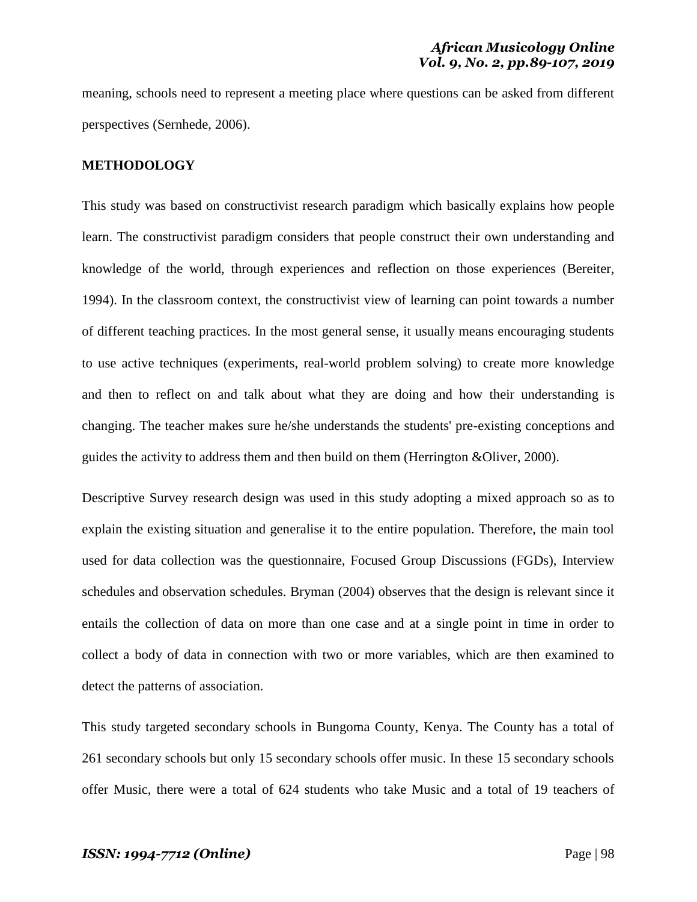meaning, schools need to represent a meeting place where questions can be asked from different perspectives (Sernhede, 2006).

#### **METHODOLOGY**

This study was based on constructivist research paradigm which basically explains how people learn. The constructivist paradigm considers that people construct their own understanding and knowledge of the world, through experiences and reflection on those experiences (Bereiter, 1994). In the classroom context, the constructivist view of learning can point towards a number of different teaching practices. In the most general sense, it usually means encouraging students to use active techniques (experiments, real-world problem solving) to create more knowledge and then to reflect on and talk about what they are doing and how their understanding is changing. The teacher makes sure he/she understands the students' pre-existing conceptions and guides the activity to address them and then build on them (Herrington &Oliver, 2000).

Descriptive Survey research design was used in this study adopting a mixed approach so as to explain the existing situation and generalise it to the entire population. Therefore, the main tool used for data collection was the questionnaire, Focused Group Discussions (FGDs), Interview schedules and observation schedules. Bryman (2004) observes that the design is relevant since it entails the collection of data on more than one case and at a single point in time in order to collect a body of data in connection with two or more variables, which are then examined to detect the patterns of association.

This study targeted secondary schools in Bungoma County, Kenya. The County has a total of 261 secondary schools but only 15 secondary schools offer music. In these 15 secondary schools offer Music, there were a total of 624 students who take Music and a total of 19 teachers of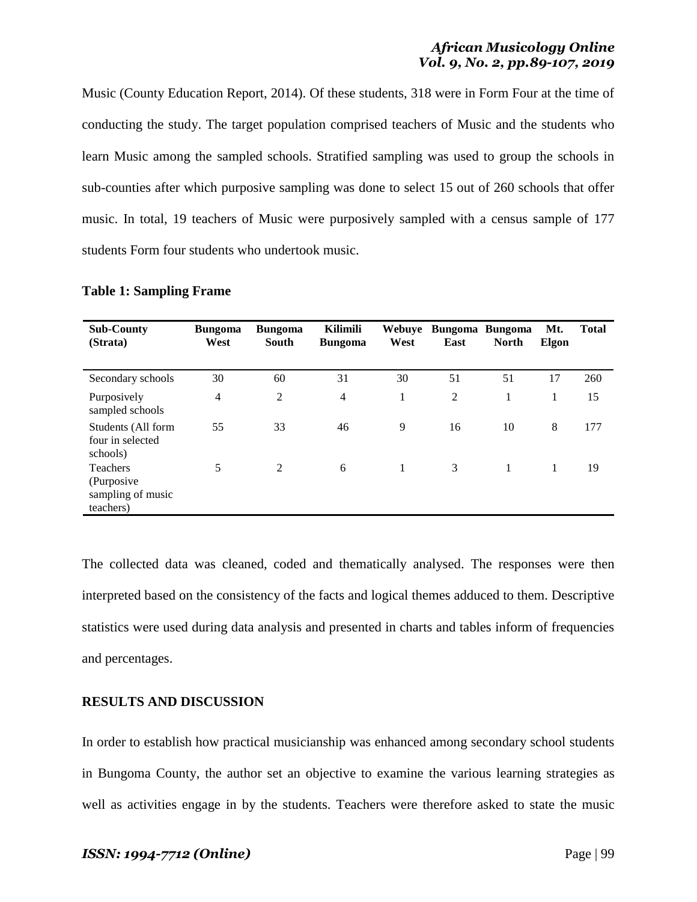Music (County Education Report, 2014). Of these students, 318 were in Form Four at the time of conducting the study. The target population comprised teachers of Music and the students who learn Music among the sampled schools. Stratified sampling was used to group the schools in sub-counties after which purposive sampling was done to select 15 out of 260 schools that offer music. In total, 19 teachers of Music were purposively sampled with a census sample of 177 students Form four students who undertook music.

| <b>Sub-County</b><br>(Strata)                                    | <b>Bungoma</b><br>West | <b>Bungoma</b><br>South | Kilimili<br><b>Bungoma</b> | West | Webuye Bungoma Bungoma<br>East | <b>North</b> | Mt.<br>Elgon | <b>Total</b> |
|------------------------------------------------------------------|------------------------|-------------------------|----------------------------|------|--------------------------------|--------------|--------------|--------------|
| Secondary schools                                                | 30                     | 60                      | 31                         | 30   | 51                             | 51           | 17           | 260          |
| Purposively<br>sampled schools                                   | 4                      | 2                       | $\overline{4}$             | 1    | 2                              | 1            | 1            | 15           |
| Students (All form<br>four in selected<br>schools)               | 55                     | 33                      | 46                         | 9    | 16                             | 10           | 8            | 177          |
| <b>Teachers</b><br>(Purposive)<br>sampling of music<br>teachers) | 5                      | 2                       | 6                          | 1    | 3                              | 1            | 1            | 19           |

**Table 1: Sampling Frame**

The collected data was cleaned, coded and thematically analysed. The responses were then interpreted based on the consistency of the facts and logical themes adduced to them. Descriptive statistics were used during data analysis and presented in charts and tables inform of frequencies and percentages.

## **RESULTS AND DISCUSSION**

In order to establish how practical musicianship was enhanced among secondary school students in Bungoma County, the author set an objective to examine the various learning strategies as well as activities engage in by the students. Teachers were therefore asked to state the music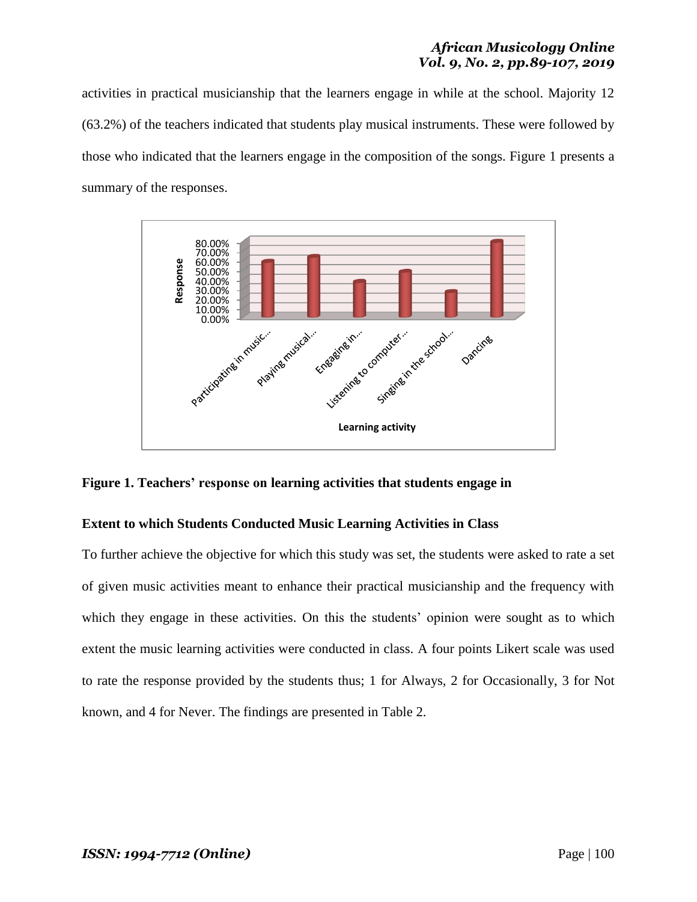activities in practical musicianship that the learners engage in while at the school. Majority 12 (63.2%) of the teachers indicated that students play musical instruments. These were followed by those who indicated that the learners engage in the composition of the songs. Figure 1 presents a summary of the responses.



### **Figure 1. Teachers' response on learning activities that students engage in**

### **Extent to which Students Conducted Music Learning Activities in Class**

To further achieve the objective for which this study was set, the students were asked to rate a set of given music activities meant to enhance their practical musicianship and the frequency with which they engage in these activities. On this the students' opinion were sought as to which extent the music learning activities were conducted in class. A four points Likert scale was used to rate the response provided by the students thus; 1 for Always, 2 for Occasionally, 3 for Not known, and 4 for Never. The findings are presented in Table 2.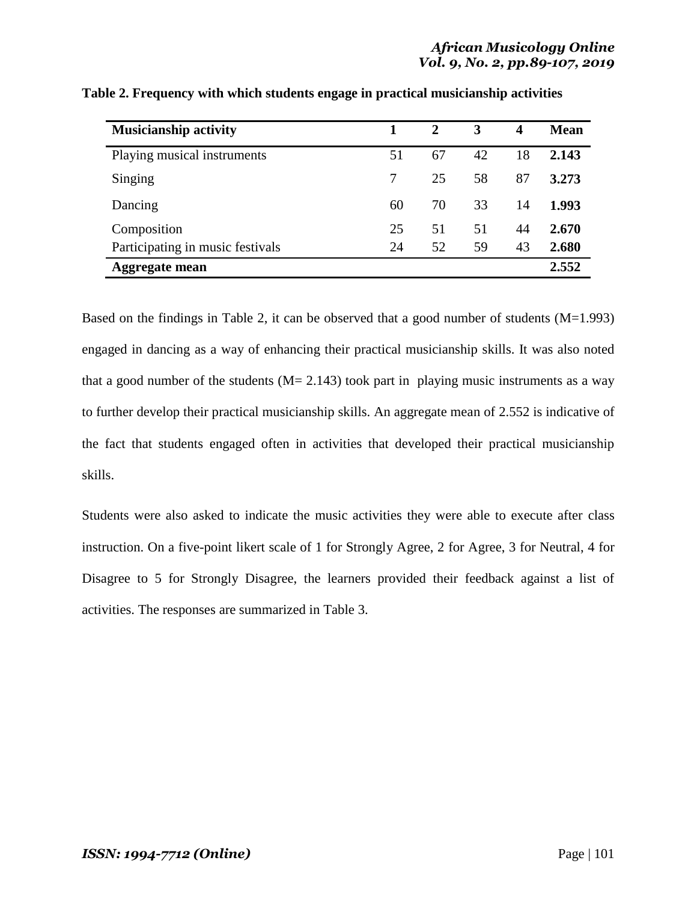| <b>Musicianship activity</b>     |    | 2  | 3  | 4  | <b>Mean</b> |
|----------------------------------|----|----|----|----|-------------|
| Playing musical instruments      | 51 | 67 | 42 | 18 | 2.143       |
| Singing                          |    | 25 | 58 | 87 | 3.273       |
| Dancing                          | 60 | 70 | 33 | 14 | 1.993       |
| Composition                      | 25 | 51 | 51 | 44 | 2.670       |
| Participating in music festivals | 24 | 52 | 59 | 43 | 2.680       |
| <b>Aggregate mean</b>            |    |    |    |    | 2.552       |

**Table 2. Frequency with which students engage in practical musicianship activities**

Based on the findings in Table 2, it can be observed that a good number of students (M=1.993) engaged in dancing as a way of enhancing their practical musicianship skills. It was also noted that a good number of the students  $(M = 2.143)$  took part in playing music instruments as a way to further develop their practical musicianship skills. An aggregate mean of 2.552 is indicative of the fact that students engaged often in activities that developed their practical musicianship skills.

Students were also asked to indicate the music activities they were able to execute after class instruction. On a five-point likert scale of 1 for Strongly Agree, 2 for Agree, 3 for Neutral, 4 for Disagree to 5 for Strongly Disagree, the learners provided their feedback against a list of activities. The responses are summarized in Table 3.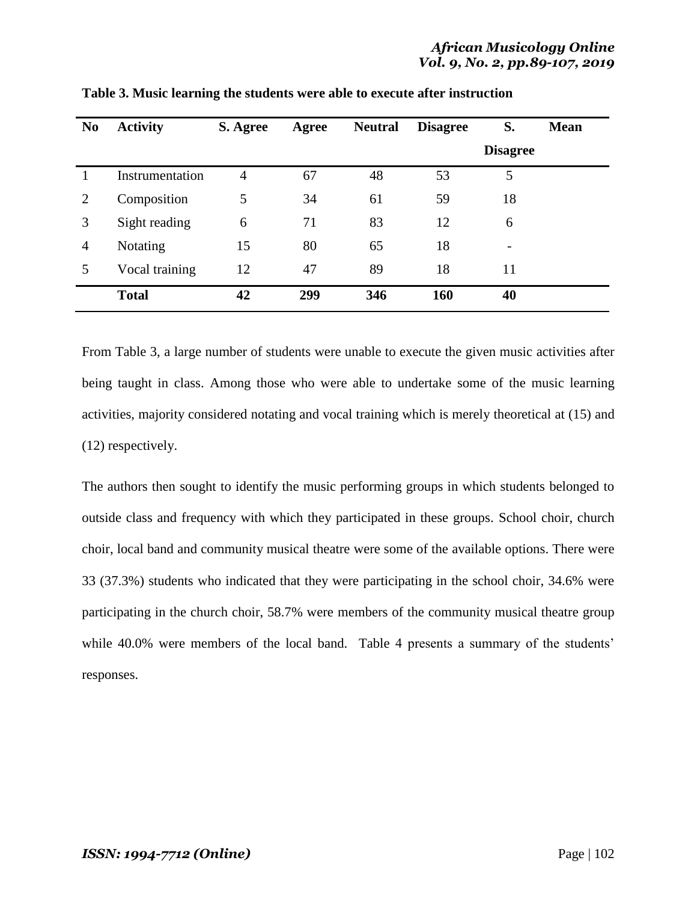| N <sub>0</sub> | <b>Activity</b> | S. Agree | Agree | <b>Neutral</b> | <b>Disagree</b> | S.              | <b>Mean</b> |
|----------------|-----------------|----------|-------|----------------|-----------------|-----------------|-------------|
|                |                 |          |       |                |                 | <b>Disagree</b> |             |
|                | Instrumentation | 4        | 67    | 48             | 53              | 5               |             |
| $\overline{2}$ | Composition     | 5        | 34    | 61             | 59              | 18              |             |
| 3              | Sight reading   | 6        | 71    | 83             | 12              | 6               |             |
| $\overline{4}$ | Notating        | 15       | 80    | 65             | 18              | -               |             |
|                | Vocal training  | 12       | 47    | 89             | 18              | 11              |             |
|                | <b>Total</b>    | 42       | 299   | 346            | 160             | 40              |             |

**Table 3. Music learning the students were able to execute after instruction**

From Table 3, a large number of students were unable to execute the given music activities after being taught in class. Among those who were able to undertake some of the music learning activities, majority considered notating and vocal training which is merely theoretical at (15) and (12) respectively.

The authors then sought to identify the music performing groups in which students belonged to outside class and frequency with which they participated in these groups. School choir, church choir, local band and community musical theatre were some of the available options. There were 33 (37.3%) students who indicated that they were participating in the school choir, 34.6% were participating in the church choir, 58.7% were members of the community musical theatre group while 40.0% were members of the local band. Table 4 presents a summary of the students' responses.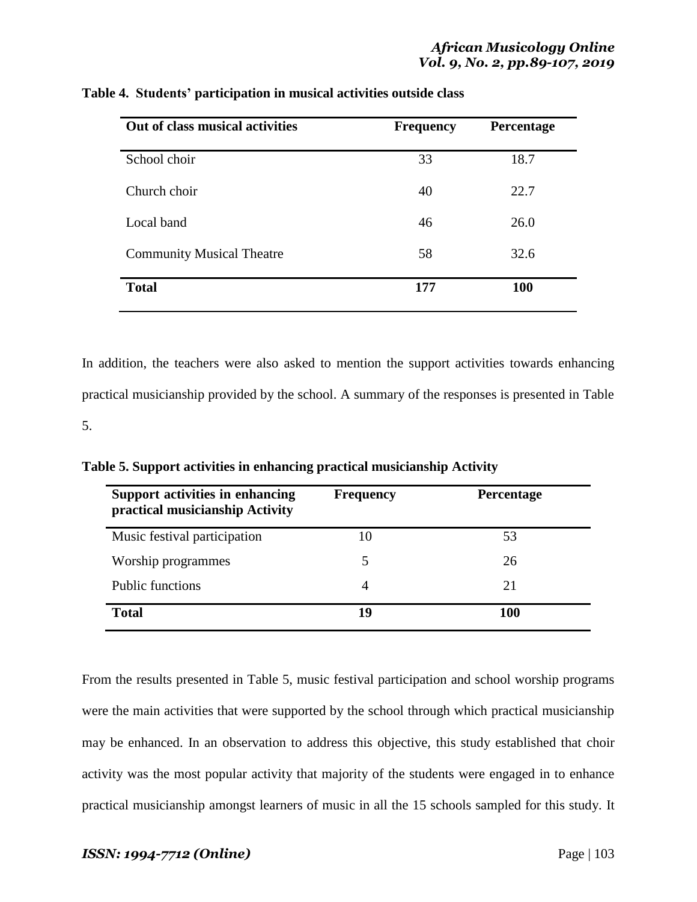| Out of class musical activities  | <b>Frequency</b> | Percentage |  |
|----------------------------------|------------------|------------|--|
| School choir                     | 33               | 18.7       |  |
| Church choir                     | 40               | 22.7       |  |
| Local band                       | 46               | 26.0       |  |
| <b>Community Musical Theatre</b> | 58               | 32.6       |  |
| <b>Total</b>                     | 177              | 100        |  |

**Table 4. Students' participation in musical activities outside class**

In addition, the teachers were also asked to mention the support activities towards enhancing practical musicianship provided by the school. A summary of the responses is presented in Table 5.

| Support activities in enhancing<br>practical musicianship Activity | <b>Frequency</b> | Percentage |
|--------------------------------------------------------------------|------------------|------------|
| Music festival participation                                       | 10               | 53         |
| Worship programmes                                                 | 5                | 26         |
| <b>Public functions</b>                                            | 4                | 21         |
| <b>Total</b>                                                       | 19               | 100        |

**Table 5. Support activities in enhancing practical musicianship Activity**

From the results presented in Table 5, music festival participation and school worship programs were the main activities that were supported by the school through which practical musicianship may be enhanced. In an observation to address this objective, this study established that choir activity was the most popular activity that majority of the students were engaged in to enhance practical musicianship amongst learners of music in all the 15 schools sampled for this study. It

# *ISSN: 1994-7712 (Online)* Page | 103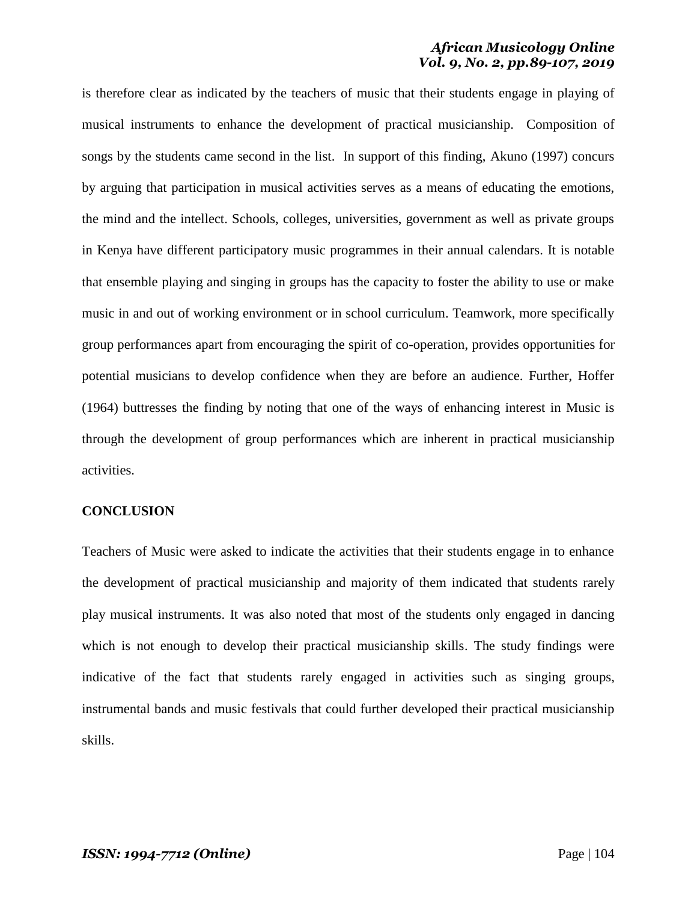is therefore clear as indicated by the teachers of music that their students engage in playing of musical instruments to enhance the development of practical musicianship. Composition of songs by the students came second in the list. In support of this finding, Akuno (1997) concurs by arguing that participation in musical activities serves as a means of educating the emotions, the mind and the intellect. Schools, colleges, universities, government as well as private groups in Kenya have different participatory music programmes in their annual calendars. It is notable that ensemble playing and singing in groups has the capacity to foster the ability to use or make music in and out of working environment or in school curriculum. Teamwork, more specifically group performances apart from encouraging the spirit of co-operation, provides opportunities for potential musicians to develop confidence when they are before an audience. Further, Hoffer (1964) buttresses the finding by noting that one of the ways of enhancing interest in Music is through the development of group performances which are inherent in practical musicianship activities.

#### **CONCLUSION**

Teachers of Music were asked to indicate the activities that their students engage in to enhance the development of practical musicianship and majority of them indicated that students rarely play musical instruments. It was also noted that most of the students only engaged in dancing which is not enough to develop their practical musicianship skills. The study findings were indicative of the fact that students rarely engaged in activities such as singing groups, instrumental bands and music festivals that could further developed their practical musicianship skills.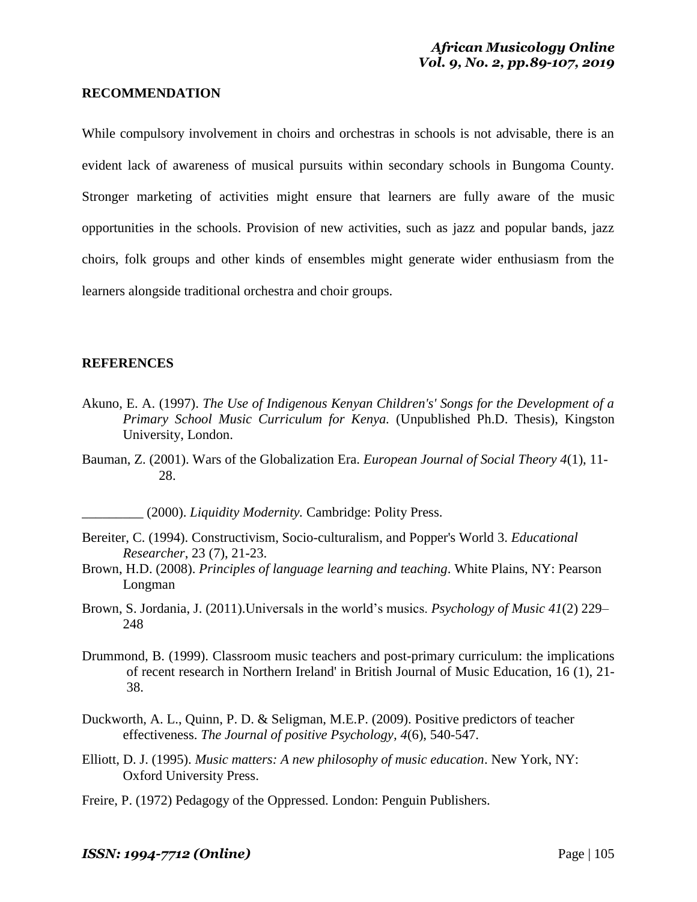#### **RECOMMENDATION**

While compulsory involvement in choirs and orchestras in schools is not advisable, there is an evident lack of awareness of musical pursuits within secondary schools in Bungoma County. Stronger marketing of activities might ensure that learners are fully aware of the music opportunities in the schools. Provision of new activities, such as jazz and popular bands, jazz choirs, folk groups and other kinds of ensembles might generate wider enthusiasm from the learners alongside traditional orchestra and choir groups.

#### **REFERENCES**

- Akuno, E. A. (1997). *The Use of Indigenous Kenyan Children's' Songs for the Development of a Primary School Music Curriculum for Kenya.* (Unpublished Ph.D. Thesis), Kingston University, London.
- Bauman, Z. (2001). Wars of the Globalization Era. *European Journal of Social Theory 4*(1), 11- 28.

\_\_\_\_\_\_\_\_\_ (2000). *Liquidity Modernity.* Cambridge: Polity Press.

- Bereiter, C. (1994). Constructivism, Socio-culturalism, and Popper's World 3. *Educational Researcher*, 23 (7), 21-23.
- Brown, H.D. (2008). *Principles of language learning and teaching*. White Plains, NY: Pearson Longman
- Brown, S. Jordania, J. (2011).Universals in the world"s musics. *Psychology of Music 41*(2) 229– 248
- Drummond, B. (1999). Classroom music teachers and post-primary curriculum: the implications of recent research in Northern Ireland' in British Journal of Music Education, 16 (1), 21- 38.
- Duckworth, A. L., Quinn, P. D. & Seligman, M.E.P. (2009). Positive predictors of teacher effectiveness. *The Journal of positive Psychology, 4*(6), 540-547.
- Elliott, D. J. (1995). *Music matters: A new philosophy of music education*. New York, NY: Oxford University Press.
- Freire, P. (1972) Pedagogy of the Oppressed. London: Penguin Publishers.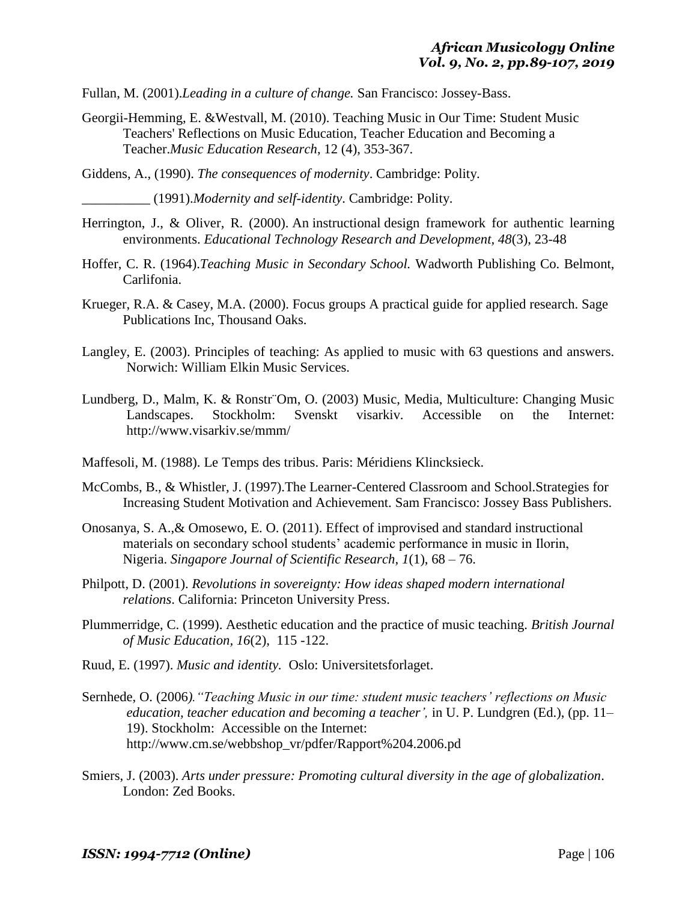Fullan, M. (2001).*Leading in a culture of change.* San Francisco: Jossey-Bass.

Georgii-Hemming, E. &Westvall, M. (2010). Teaching Music in Our Time: Student Music Teachers' Reflections on Music Education, Teacher Education and Becoming a Teacher.*Music Education Research*, 12 (4), 353-367.

Giddens, A., (1990). *The consequences of modernity*. Cambridge: Polity.

\_\_\_\_\_\_\_\_\_\_ (1991).*Modernity and self-identity*. Cambridge: Polity.

- Herrington, J., & Oliver, R. (2000). An instructional design framework for authentic learning [environments.](http://researchrepository.murdoch.edu.au/5251/) *Educational Technology Research and Development, 48*(3), 23-48
- Hoffer, C. R. (1964).*Teaching Music in Secondary School.* Wadworth Publishing Co. Belmont, Carlifonia.
- Krueger, R.A. & Casey, M.A. (2000). Focus groups A practical guide for applied research. Sage Publications Inc, Thousand Oaks.
- Langley, E. (2003). Principles of teaching: As applied to music with 63 questions and answers. Norwich: William Elkin Music Services.
- Lundberg, D., Malm, K. & Ronstr¨Om, O. (2003) Music, Media, Multiculture: Changing Music Landscapes. Stockholm: Svenskt visarkiv. Accessible on the Internet: http://www.visarkiv.se/mmm/
- Maffesoli, M. (1988). Le Temps des tribus. Paris: Méridiens Klincksieck.
- McCombs, B., & Whistler, J. (1997).The Learner-Centered Classroom and School.Strategies for Increasing Student Motivation and Achievement. Sam Francisco: Jossey Bass Publishers.
- Onosanya, S. A.,& Omosewo, E. O. (2011). Effect of improvised and standard instructional materials on secondary school students" academic performance in music in Ilorin, Nigeria. *Singapore Journal of Scientific Research, 1*(1), 68 – 76.
- Philpott, D. (2001). *Revolutions in sovereignty: How ideas shaped modern international relations*. California: Princeton University Press.
- Plummerridge, C. (1999). Aesthetic education and the practice of music teaching. *British Journal of Music Education, 16*(2), 115 -122.
- Ruud, E. (1997). *Music and identity.* Oslo: Universitetsforlaget.
- Sernhede, O. (2006*)."Teaching Music in our time: student music teachers' reflections on Music education, teacher education and becoming a teacher',* in U. P. Lundgren (Ed.), (pp. 11– 19). Stockholm: Accessible on the Internet: http://www.cm.se/webbshop\_vr/pdfer/Rapport%204.2006.pd
- Smiers, J. (2003). *Arts under pressure: Promoting cultural diversity in the age of globalization*. London: Zed Books.